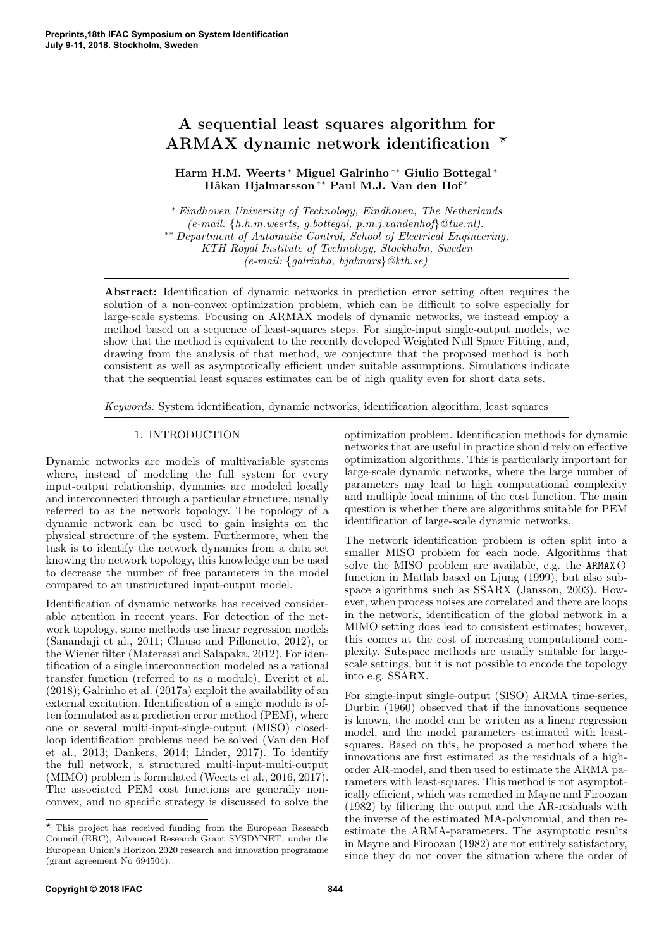# A sequential least squares algorithm for ARMAX dynamic network identification  $\star$

Harm H.M. Weerts <sup>∗</sup> Miguel Galrinho ∗∗ Giulio Bottegal <sup>∗</sup> Håkan Hjalmarsson<sup>\*\*</sup> Paul M.J. Van den Hof<sup>\*</sup>

<sup>∗</sup> Eindhoven University of Technology, Eindhoven, The Netherlands  $(e-mail: \{h.h.m.weerts, g.bottegal, p.m.j.vandenhof\} @true.nl$ . ∗∗ Department of Automatic Control, School of Electrical Engineering, KTH Royal Institute of Technology, Stockholm, Sweden (e-mail: {galrinho, hjalmars}@kth.se)

Abstract: Identification of dynamic networks in prediction error setting often requires the solution of a non-convex optimization problem, which can be difficult to solve especially for large-scale systems. Focusing on ARMAX models of dynamic networks, we instead employ a method based on a sequence of least-squares steps. For single-input single-output models, we show that the method is equivalent to the recently developed Weighted Null Space Fitting, and, drawing from the analysis of that method, we conjecture that the proposed method is both consistent as well as asymptotically efficient under suitable assumptions. Simulations indicate that the sequential least squares estimates can be of high quality even for short data sets.

Keywords: System identification, dynamic networks, identification algorithm, least squares

# 1. INTRODUCTION

Dynamic networks are models of multivariable systems where, instead of modeling the full system for every input-output relationship, dynamics are modeled locally and interconnected through a particular structure, usually referred to as the network topology. The topology of a dynamic network can be used to gain insights on the physical structure of the system. Furthermore, when the task is to identify the network dynamics from a data set knowing the network topology, this knowledge can be used to decrease the number of free parameters in the model compared to an unstructured input-output model.

Identification of dynamic networks has received considerable attention in recent years. For detection of the network topology, some methods use linear regression models (Sanandaji et al., 2011; Chiuso and Pillonetto, 2012), or the Wiener filter (Materassi and Salapaka, 2012). For identification of a single interconnection modeled as a rational transfer function (referred to as a module), Everitt et al. (2018); Galrinho et al. (2017a) exploit the availability of an external excitation. Identification of a single module is often formulated as a prediction error method (PEM), where one or several multi-input-single-output (MISO) closedloop identification problems need be solved (Van den Hof et al., 2013; Dankers, 2014; Linder, 2017). To identify the full network, a structured multi-input-multi-output (MIMO) problem is formulated (Weerts et al., 2016, 2017). The associated PEM cost functions are generally nonconvex, and no specific strategy is discussed to solve the

optimization problem. Identification methods for dynamic networks that are useful in practice should rely on effective optimization algorithms. This is particularly important for large-scale dynamic networks, where the large number of parameters may lead to high computational complexity and multiple local minima of the cost function. The main question is whether there are algorithms suitable for PEM identification of large-scale dynamic networks.

The network identification problem is often split into a smaller MISO problem for each node. Algorithms that solve the MISO problem are available, e.g. the ARMAX() function in Matlab based on Ljung (1999), but also subspace algorithms such as SSARX (Jansson, 2003). However, when process noises are correlated and there are loops in the network, identification of the global network in a MIMO setting does lead to consistent estimates; however, this comes at the cost of increasing computational complexity. Subspace methods are usually suitable for largescale settings, but it is not possible to encode the topology into e.g. SSARX.

For single-input single-output (SISO) ARMA time-series, Durbin (1960) observed that if the innovations sequence is known, the model can be written as a linear regression model, and the model parameters estimated with leastsquares. Based on this, he proposed a method where the innovations are first estimated as the residuals of a highorder AR-model, and then used to estimate the ARMA parameters with least-squares. This method is not asymptotically efficient, which was remedied in Mayne and Firoozan (1982) by filtering the output and the AR-residuals with the inverse of the estimated MA-polynomial, and then reestimate the ARMA-parameters. The asymptotic results in Mayne and Firoozan (1982) are not entirely satisfactory, since they do not cover the situation where the order of

 $^\star$  This project has received funding from the European Research Council (ERC), Advanced Research Grant SYSDYNET, under the European Union's Horizon 2020 research and innovation programme (grant agreement No 694504).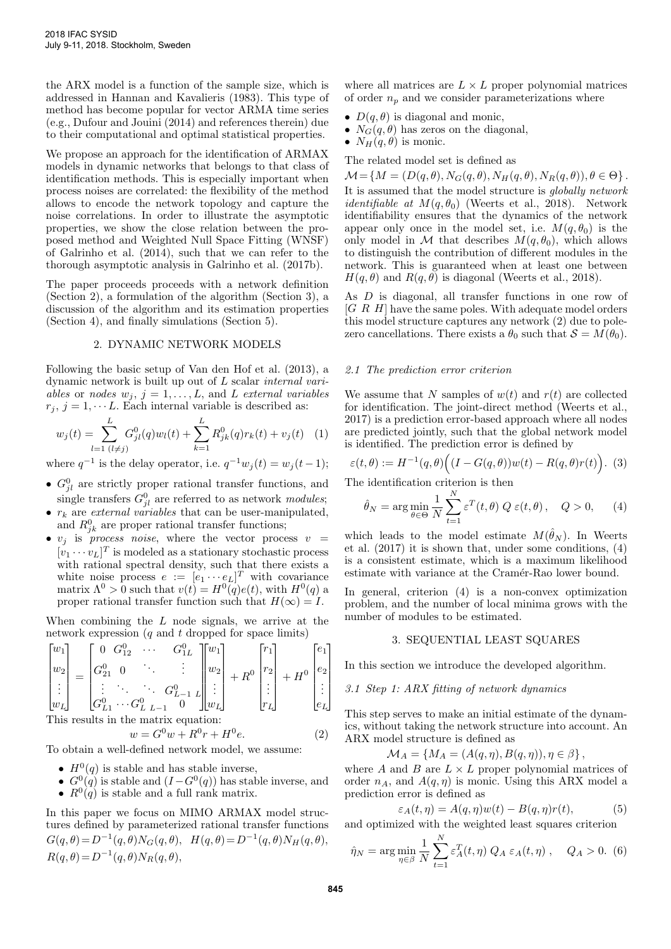the ARX model is a function of the sample size, which is addressed in Hannan and Kavalieris (1983). This type of method has become popular for vector ARMA time series (e.g., Dufour and Jouini (2014) and references therein) due to their computational and optimal statistical properties.

We propose an approach for the identification of ARMAX models in dynamic networks that belongs to that class of identification methods. This is especially important when process noises are correlated: the flexibility of the method allows to encode the network topology and capture the noise correlations. In order to illustrate the asymptotic properties, we show the close relation between the proposed method and Weighted Null Space Fitting (WNSF) of Galrinho et al. (2014), such that we can refer to the thorough asymptotic analysis in Galrinho et al. (2017b).

The paper proceeds proceeds with a network definition (Section 2), a formulation of the algorithm (Section 3), a discussion of the algorithm and its estimation properties (Section 4), and finally simulations (Section 5).

# 2. DYNAMIC NETWORK MODELS

Following the basic setup of Van den Hof et al. (2013), a dynamic network is built up out of L scalar internal variables or nodes  $w_j$ ,  $j = 1, \ldots, L$ , and L external variables  $r_i, j = 1, \dots L$ . Each internal variable is described as:

$$
w_j(t) = \sum_{l=1}^{L} G_{jl}^0(q)w_l(t) + \sum_{k=1}^{L} R_{jk}^0(q)r_k(t) + v_j(t)
$$
 (1)

where  $q^{-1}$  is the delay operator, i.e.  $q^{-1}w_j(t) = w_j(t-1);$ 

- $G_{jl}^0$  are strictly proper rational transfer functions, and single transfers  $G_{jl}^0$  are referred to as network modules;
- $r_k$  are *external variables* that can be user-manipulated, and  $R_{jk}^0$  are proper rational transfer functions;
- $v_j$  is *process noise*, where the vector process  $v =$  $[v_1 \cdots v_L]^T$  is modeled as a stationary stochastic process with rational spectral density, such that there exists a white noise process  $e := [e_1 \cdots e_L]^T$  with covariance matrix  $\Lambda^0 > 0$  such that  $v(t) = H^0(q)e(t)$ , with  $H^0(q)$  a proper rational transfer function such that  $H(\infty) = I$ .

When combining the  $L$  node signals, we arrive at the network expression  $(q \text{ and } t \text{ dropped for space limits})$ 

$$
\begin{bmatrix} w_1 \\ w_2 \\ \vdots \\ w_L \end{bmatrix} = \begin{bmatrix} 0 & G_{12}^0 & \cdots & G_{1L}^0 \\ G_{21}^0 & 0 & \cdots & \vdots \\ \vdots & \ddots & \ddots & G_{L-1}^0 \\ G_{L1}^0 & \cdots & G_{L-L-1}^0 & 0 \end{bmatrix} \begin{bmatrix} w_1 \\ w_2 \\ \vdots \\ w_L \end{bmatrix} + R^0 \begin{bmatrix} r_1 \\ r_2 \\ \vdots \\ r_L \end{bmatrix} + H^0 \begin{bmatrix} e_1 \\ e_2 \\ \vdots \\ e_L \end{bmatrix}
$$
  
This results in the matrix equation:

This results in the matrix equation:

$$
w = G^{0}w + R^{0}r + H^{0}e.
$$
 (2)  
To obtain a well-defined network model, we assume:

- $H^0(q)$  is stable and has stable inverse,
- $G^{0}(q)$  is stable and  $(I G^{0}(q))$  has stable inverse, and •  $R^{0}(q)$  is stable and a full rank matrix.

In this paper we focus on MIMO ARMAX model structures defined by parameterized rational transfer functions  $G(q, \theta) = D^{-1}(q, \theta) N_G(q, \theta), H(q, \theta) = D^{-1}(q, \theta) N_H(q, \theta),$  $R(q, \theta) = D^{-1}(q, \theta) N_R(q, \theta),$ 

where all matrices are  $L \times L$  proper polynomial matrices of order  $n_p$  and we consider parameterizations where

- $D(q, \theta)$  is diagonal and monic,
- $N_G(q, \theta)$  has zeros on the diagonal,
- $N_H(q, \theta)$  is monic.

The related model set is defined as

 $\mathcal{M} = \{M = (D(q, \theta), N_G(q, \theta), N_H(q, \theta), N_R(q, \theta)), \theta \in \Theta\}.$ It is assumed that the model structure is globally network *identifiable at*  $M(q, \theta_0)$  (Weerts et al., 2018). Network identifiability ensures that the dynamics of the network appear only once in the model set, i.e.  $M(q, \theta_0)$  is the only model in M that describes  $M(q, \theta_0)$ , which allows to distinguish the contribution of different modules in the network. This is guaranteed when at least one between  $H(q, \theta)$  and  $R(q, \theta)$  is diagonal (Weerts et al., 2018).

As D is diagonal, all transfer functions in one row of [G R H] have the same poles. With adequate model orders this model structure captures any network (2) due to polezero cancellations. There exists a  $\theta_0$  such that  $S = M(\theta_0)$ .

### 2.1 The prediction error criterion

We assume that N samples of  $w(t)$  and  $r(t)$  are collected for identification. The joint-direct method (Weerts et al., 2017) is a prediction error-based approach where all nodes are predicted jointly, such that the global network model is identified. The prediction error is defined by

$$
\varepsilon(t,\theta) := H^{-1}(q,\theta)\Big((I - G(q,\theta))w(t) - R(q,\theta)r(t)\Big).~~(3)
$$

The identification criterion is then

$$
\hat{\theta}_N = \arg\min_{\theta \in \Theta} \frac{1}{N} \sum_{t=1}^N \varepsilon^T(t, \theta) Q \varepsilon(t, \theta), \quad Q > 0, \quad (4)
$$

which leads to the model estimate  $M(\hat{\theta}_N)$ . In Weerts et al. (2017) it is shown that, under some conditions, (4) is a consistent estimate, which is a maximum likelihood estimate with variance at the Cramér-Rao lower bound.

In general, criterion (4) is a non-convex optimization problem, and the number of local minima grows with the number of modules to be estimated.

# 3. SEQUENTIAL LEAST SQUARES

In this section we introduce the developed algorithm.

3.1 Step 1: ARX fitting of network dynamics

This step serves to make an initial estimate of the dynamics, without taking the network structure into account. An ARX model structure is defined as

$$
\mathcal{M}_A = \{ M_A = (A(q, \eta), B(q, \eta)), \eta \in \beta \},
$$

where A and B are  $L \times L$  proper polynomial matrices of order  $n_A$ , and  $A(q, \eta)$  is monic. Using this ARX model a prediction error is defined as

$$
\varepsilon_A(t,\eta) = A(q,\eta)w(t) - B(q,\eta)r(t),\tag{5}
$$

and optimized with the weighted least squares criterion

$$
\hat{\eta}_N = \arg\min_{\eta \in \beta} \frac{1}{N} \sum_{t=1}^N \varepsilon_A^T(t, \eta) Q_A \varepsilon_A(t, \eta) , \quad Q_A > 0. \tag{6}
$$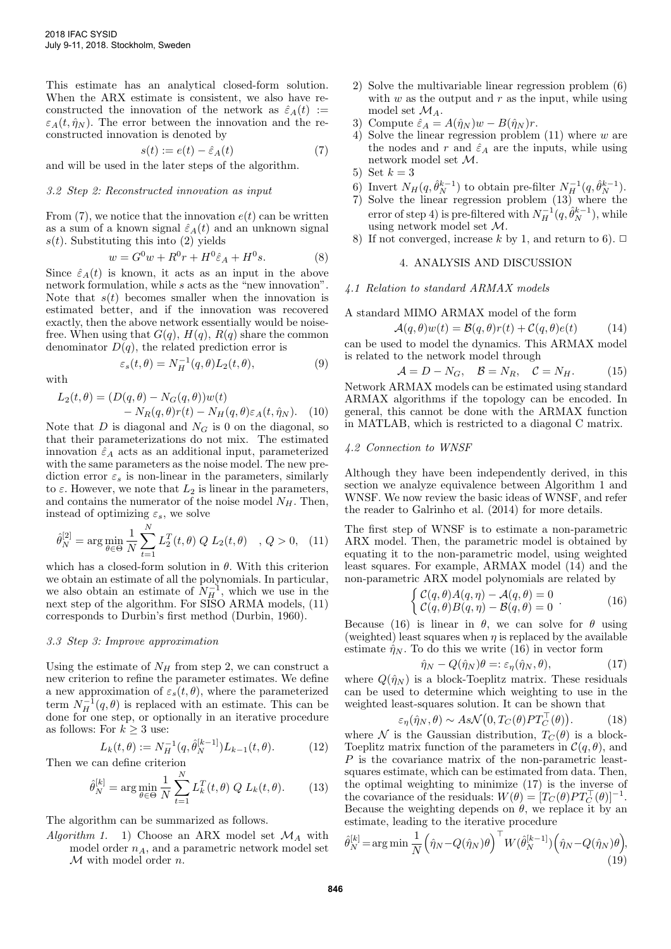This estimate has an analytical closed-form solution. When the ARX estimate is consistent, we also have reconstructed the innovation of the network as  $\hat{\varepsilon}_A(t) :=$  $\varepsilon_A(t, \hat{\eta}_N)$ . The error between the innovation and the reconstructed innovation is denoted by

$$
s(t) := e(t) - \hat{\varepsilon}_A(t) \tag{7}
$$

and will be used in the later steps of the algorithm.

# 3.2 Step 2: Reconstructed innovation as input

From  $(7)$ , we notice that the innovation  $e(t)$  can be written as a sum of a known signal  $\hat{\epsilon}_A(t)$  and an unknown signal  $s(t)$ . Substituting this into (2) yields

$$
w = G^{0}w + R^{0}r + H^{0}\hat{\varepsilon}_{A} + H^{0}s.
$$
 (8)

Since  $\hat{\varepsilon}_A(t)$  is known, it acts as an input in the above network formulation, while s acts as the "new innovation". Note that  $s(t)$  becomes smaller when the innovation is estimated better, and if the innovation was recovered exactly, then the above network essentially would be noisefree. When using that  $G(q)$ ,  $H(q)$ ,  $R(q)$  share the common denominator  $D(q)$ , the related prediction error is

$$
\varepsilon_s(t,\theta) = N_H^{-1}(q,\theta)L_2(t,\theta),\tag{9}
$$

with

$$
L_2(t, \theta) = (D(q, \theta) - N_G(q, \theta))w(t)
$$
  
- N<sub>R</sub>(q, \theta)r(t) - N<sub>H</sub>(q, \theta) \varepsilon\_A(t, \hat{\eta}\_N). (10)

Note that  $D$  is diagonal and  $N_G$  is 0 on the diagonal, so that their parameterizations do not mix. The estimated innovation  $\hat{\varepsilon}_A$  acts as an additional input, parameterized with the same parameters as the noise model. The new prediction error  $\varepsilon_s$  is non-linear in the parameters, similarly to  $\varepsilon$ . However, we note that  $L_2$  is linear in the parameters, and contains the numerator of the noise model  $N_H$ . Then, instead of optimizing  $\varepsilon_s$ , we solve

$$
\hat{\theta}_N^{[2]} = \arg\min_{\theta \in \Theta} \frac{1}{N} \sum_{t=1}^N L_2^T(t, \theta) Q L_2(t, \theta) \quad , Q > 0, \quad (11)
$$

which has a closed-form solution in  $\theta$ . With this criterion we obtain an estimate of all the polynomials. In particular, we also obtain an estimate of  $N_H^{-1}$ , which we use in the next step of the algorithm. For SISO ARMA models,  $(11)$ corresponds to Durbin's first method (Durbin, 1960).

#### 3.3 Step 3: Improve approximation

Using the estimate of  $N_H$  from step 2, we can construct a new criterion to refine the parameter estimates. We define a new approximation of  $\varepsilon_s(t, \theta)$ , where the parameterized term  $N_H^{-1}(q, \theta)$  is replaced with an estimate. This can be done for one step, or optionally in an iterative procedure as follows: For  $k \geq 3$  use:

$$
L_k(t,\theta) := N_H^{-1}(q,\hat{\theta}_N^{[k-1]}) L_{k-1}(t,\theta).
$$
 (12)

Then we can define criterion

$$
\hat{\theta}_N^{[k]} = \arg\min_{\theta \in \Theta} \frac{1}{N} \sum_{t=1}^N L_k^T(t, \theta) Q L_k(t, \theta).
$$
 (13)

The algorithm can be summarized as follows.

Algorithm 1. 1) Choose an ARX model set  $\mathcal{M}_A$  with model order  $n_A$ , and a parametric network model set  $M$  with model order n.

- 2) Solve the multivariable linear regression problem (6) with  $w$  as the output and  $r$  as the input, while using model set  $\mathcal{M}_A$ .
- 3) Compute  $\hat{\varepsilon}_A = A(\hat{\eta}_N)w B(\hat{\eta}_N)r$ .
- 4) Solve the linear regression problem  $(11)$  where w are the nodes and r and  $\hat{\varepsilon}_A$  are the inputs, while using network model set M.
- 5) Set  $k=3$
- 6) Invert  $N_H(q, \hat{\theta}_N^{k-1})$  to obtain pre-filter  $N_H^{-1}(q, \hat{\theta}_N^{k-1})$ .
- 7) Solve the linear regression problem (13) where the error of step 4) is pre-filtered with  $N_H^{-1}(q, \hat{\theta}_N^{k-1})$ , while using network model set M.
- 8) If not converged, increase k by 1, and return to 6).  $\Box$

## 4. ANALYSIS AND DISCUSSION

# 4.1 Relation to standard ARMAX models

A standard MIMO ARMAX model of the form

$$
\mathcal{A}(q,\theta)w(t) = \mathcal{B}(q,\theta)r(t) + \mathcal{C}(q,\theta)e(t) \tag{14}
$$

can be used to model the dynamics. This ARMAX model is related to the network model through

$$
\mathcal{A} = D - N_G, \quad \mathcal{B} = N_R, \quad \mathcal{C} = N_H. \tag{15}
$$

Network ARMAX models can be estimated using standard ARMAX algorithms if the topology can be encoded. In general, this cannot be done with the ARMAX function in MATLAB, which is restricted to a diagonal C matrix.

#### 4.2 Connection to WNSF

Although they have been independently derived, in this section we analyze equivalence between Algorithm 1 and WNSF. We now review the basic ideas of WNSF, and refer the reader to Galrinho et al. (2014) for more details.

The first step of WNSF is to estimate a non-parametric ARX model. Then, the parametric model is obtained by equating it to the non-parametric model, using weighted least squares. For example, ARMAX model (14) and the non-parametric ARX model polynomials are related by

$$
\begin{cases}\n\mathcal{C}(q,\theta)A(q,\eta) - \mathcal{A}(q,\theta) = 0 \\
\mathcal{C}(q,\theta)B(q,\eta) - \mathcal{B}(q,\theta) = 0\n\end{cases}.
$$
\n(16)

Because (16) is linear in  $\theta$ , we can solve for  $\theta$  using (weighted) least squares when  $\eta$  is replaced by the available estimate  $\hat{\eta}_N$ . To do this we write (16) in vector form

$$
\hat{\eta}_N - Q(\hat{\eta}_N)\theta =: \varepsilon_\eta(\hat{\eta}_N, \theta), \tag{17}
$$

where  $Q(\hat{\eta}_N)$  is a block-Toeplitz matrix. These residuals can be used to determine which weighting to use in the weighted least-squares solution. It can be shown that

$$
\varepsilon_{\eta}(\hat{\eta}_N,\theta) \sim As\mathcal{N}\big(0,T_C(\theta)PT_C^{\top}(\theta)\big). \tag{18}
$$

where N is the Gaussian distribution,  $T_C(\theta)$  is a block-Toeplitz matrix function of the parameters in  $\mathcal{C}(q, \theta)$ , and P is the covariance matrix of the non-parametric leastsquares estimate, which can be estimated from data. Then, the optimal weighting to minimize (17) is the inverse of the covariance of the residuals:  $W(\theta) = [T_C(\theta)PT_C^{\top}(\theta)]^{-1}$ . Because the weighting depends on  $\theta$ , we replace it by an estimate, leading to the iterative procedure

$$
\hat{\theta}_N^{[k]} = \arg\min \frac{1}{N} \left( \hat{\eta}_N - Q(\hat{\eta}_N)\theta \right)^{\top} W(\hat{\theta}_N^{[k-1]}) \left( \hat{\eta}_N - Q(\hat{\eta}_N)\theta \right),\tag{19}
$$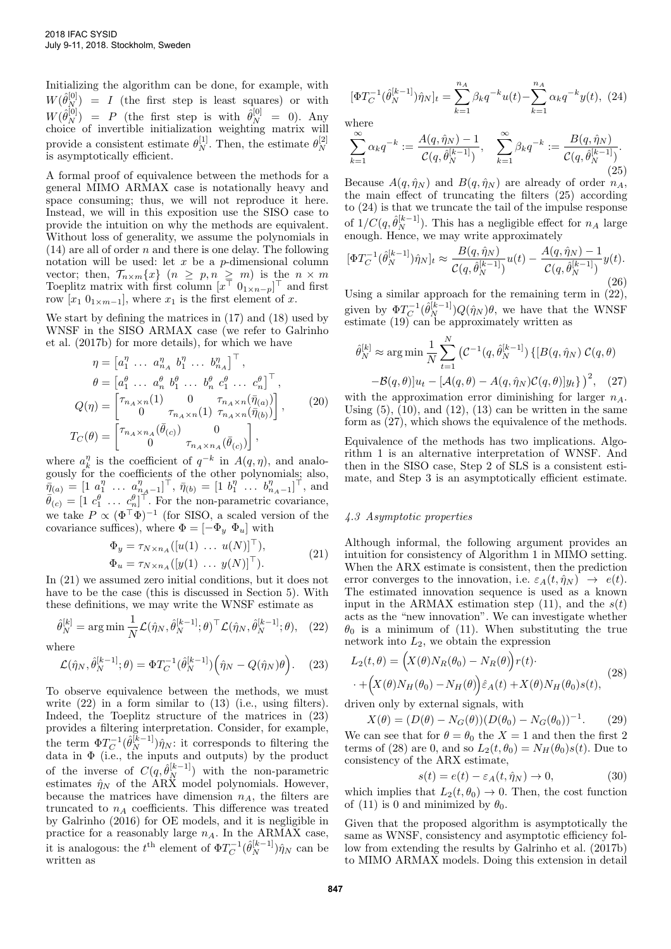Initializing the algorithm can be done, for example, with  $W(\hat{\theta}_N^{[0]}) = I$  (the first step is least squares) or with  $W(\hat{\theta}_N^{[0]}) = P$  (the first step is with  $\hat{\theta}_N^{[0]} = 0$ ). Any choice of invertible initialization weighting matrix will provide a consistent estimate  $\theta_N^{[1]}$ . Then, the estimate  $\theta_N^{[2]}$ N is asymptotically efficient.

A formal proof of equivalence between the methods for a general MIMO ARMAX case is notationally heavy and space consuming; thus, we will not reproduce it here. Instead, we will in this exposition use the SISO case to provide the intuition on why the methods are equivalent. Without loss of generality, we assume the polynomials in  $(14)$  are all of order n and there is one delay. The following notation will be used: let  $x$  be a  $p$ -dimensional column vector; then,  $\mathcal{T}_{n \times m}\lbrace x \rbrace$   $(n \geq p, n \geq m)$  is the  $n \times m$ Toeplitz matrix with first column  $[x^{\top} \ 0_{1 \times n-p}]^{\top}$  and first row  $[x_1 \ 0_{1 \times m-1}]$ , where  $x_1$  is the first element of x.

We start by defining the matrices in (17) and (18) used by WNSF in the SISO ARMAX case (we refer to Galrinho et al. (2017b) for more details), for which we have

$$
\eta = \begin{bmatrix} a_1^{\eta} & \dots & a_{n_A}^{\eta} & b_1^{\eta} & \dots & b_{n_A}^{\eta} \end{bmatrix}^{\top}, \n\theta = \begin{bmatrix} a_1^{\theta} & \dots & a_n^{\theta} & b_1^{\theta} & \dots & b_n^{\theta} & c_1^{\theta} & \dots & c_n^{\theta} \end{bmatrix}^{\top}, \nQ(\eta) = \begin{bmatrix} \tau_{n_A \times n}(1) & 0 & \tau_{n_A \times n}(\bar{\eta}_{(a)}) \\ 0 & \tau_{n_A \times n}(1) & \tau_{n_A \times n}(\bar{\eta}_{(b)}) \end{bmatrix},
$$
\n
$$
T_C(\theta) = \begin{bmatrix} \tau_{n_A \times n_A}(\bar{\theta}_{(c)}) & 0 \\ 0 & \tau_{n_A \times n_A}(\bar{\theta}_{(c)}) \end{bmatrix},
$$
\n(20)

where  $a_k^{\eta}$  is the coefficient of  $q^{-k}$  in  $A(q, \eta)$ , and analogously for the coefficients of the other polynomials; also,  $\overline{\eta}_{(a)} = [1 \ a_1^{\eta} \ \ldots \ a_{n_A-1}^{\eta}]^{\top}, \ \overline{\eta}_{(b)} = [1 \ b_1^{\eta} \ \ldots \ b_{n_A-1}^{\eta}]^{\top}, \text{ and}$  $\bar{\theta}_{(c)} = [1 \ c_1^{\theta} \ \dots \ c_n^{\theta}]^{\dagger}$ . For the non-parametric covariance, we take  $P \propto (\Phi^{\top} \Phi)^{-1}$  (for SISO, a scaled version of the covariance suffices), where  $\Phi = [-\Phi_y \ \Phi_u]$  with

$$
\Phi_y = \tau_{N \times n_A}([u(1) \dots u(N)]^{\top}), \n\Phi_u = \tau_{N \times n_A}([y(1) \dots y(N)]^{\top}).
$$
\n(21)

In (21) we assumed zero initial conditions, but it does not have to be the case (this is discussed in Section 5). With these definitions, we may write the WNSF estimate as

$$
\hat{\theta}_N^{[k]} = \arg\min \frac{1}{N} \mathcal{L}(\hat{\eta}_N, \hat{\theta}_N^{[k-1]}; \theta)^\top \mathcal{L}(\hat{\eta}_N, \hat{\theta}_N^{[k-1]}; \theta), \quad (22)
$$

where

$$
\mathcal{L}(\hat{\eta}_N, \hat{\theta}_N^{[k-1]}; \theta) = \Phi T_C^{-1}(\hat{\theta}_N^{[k-1]}) \Big( \hat{\eta}_N - Q(\hat{\eta}_N)\theta \Big). \tag{23}
$$

To observe equivalence between the methods, we must write  $(22)$  in a form similar to  $(13)$  (i.e., using filters). Indeed, the Toeplitz structure of the matrices in (23) provides a filtering interpretation. Consider, for example, the term  $\Phi T_C^{-1}(\hat{\theta}_N^{[k-1]})\hat{\eta}_N$ : it corresponds to filtering the data in  $\Phi$  (i.e., the inputs and outputs) by the product of the inverse of  $C(q, \hat{\theta}_N^{[k-1]})$  with the non-parametric estimates  $\hat{\eta}_N$  of the ARX model polynomials. However, because the matrices have dimension  $n_A$ , the filters are truncated to  $n_A$  coefficients. This difference was treated by Galrinho (2016) for OE models, and it is negligible in practice for a reasonably large  $n_A$ . In the ARMAX case, it is analogous: the  $t^{\text{th}}$  element of  $\Phi T_C^{-1}(\hat{\theta}_N^{[k-1]}) \hat{\eta}_N$  can be written as

$$
[\Phi T_C^{-1}(\hat{\theta}_N^{[k-1]})\hat{\eta}_N]_t = \sum_{k=1}^{n_A} \beta_k q^{-k} u(t) - \sum_{k=1}^{n_A} \alpha_k q^{-k} y(t), \tag{24}
$$

where

$$
\sum_{k=1}^{\infty} \alpha_k q^{-k} := \frac{A(q, \hat{\eta}_N) - 1}{\mathcal{C}(q, \hat{\theta}_N^{[k-1]})}, \quad \sum_{k=1}^{\infty} \beta_k q^{-k} := \frac{B(q, \hat{\eta}_N)}{\mathcal{C}(q, \hat{\theta}_N^{[k-1]})}.
$$
\n(25)

Because  $A(q, \hat{\eta}_N)$  and  $B(q, \hat{\eta}_N)$  are already of order  $n_A$ , the main effect of truncating the filters (25) according to (24) is that we truncate the tail of the impulse response of  $1/C(q, \hat{\theta}_N^{[k-1]})$ . This has a negligible effect for  $n_A$  large enough. Hence, we may write approximately

$$
[\Phi T_C^{-1}(\hat{\theta}_N^{[k-1]})\hat{\eta}_N]_t \approx \frac{B(q,\hat{\eta}_N)}{\mathcal{C}(q,\hat{\theta}_N^{[k-1]})}u(t) - \frac{A(q,\hat{\eta}_N) - 1}{\mathcal{C}(q,\hat{\theta}_N^{[k-1]})}y(t).
$$
\n(26)

Using a similar approach for the remaining term in (22), given by  $\Phi T_C^{-1}(\hat{\theta}_N^{[k-1]}) Q(\hat{\eta}_N) \theta$ , we have that the WNSF estimate (19) can be approximately written as

$$
\hat{\theta}_N^{[k]} \approx \arg\min \frac{1}{N} \sum_{t=1}^N \left( C^{-1}(q, \hat{\theta}_N^{[k-1]}) \left\{ [B(q, \hat{\eta}_N) \ C(q, \theta) -\mathcal{B}(q, \theta)] u_t - [\mathcal{A}(q, \theta) - A(q, \hat{\eta}_N) \mathcal{C}(q, \theta)] y_t \right\}^2, \quad (27)
$$

with the approximation error diminishing for larger  $n_A$ . Using  $(5)$ ,  $(10)$ , and  $(12)$ ,  $(13)$  can be written in the same form as (27), which shows the equivalence of the methods.

Equivalence of the methods has two implications. Algorithm 1 is an alternative interpretation of WNSF. And then in the SISO case, Step 2 of SLS is a consistent estimate, and Step 3 is an asymptotically efficient estimate.

#### 4.3 Asymptotic properties

Although informal, the following argument provides an intuition for consistency of Algorithm 1 in MIMO setting. When the ARX estimate is consistent, then the prediction error converges to the innovation, i.e.  $\varepsilon_A(t, \hat{\eta}_N) \rightarrow e(t)$ . The estimated innovation sequence is used as a known input in the ARMAX estimation step (11), and the  $s(t)$ acts as the "new innovation". We can investigate whether  $\theta_0$  is a minimum of (11). When substituting the true network into  $L_2$ , we obtain the expression

$$
L_2(t,\theta) = \left(X(\theta)N_R(\theta_0) - N_R(\theta)\right)r(t) \cdot \left(28\right) \cdot \left(28\right) \cdot \left(28\right) \cdot \left(28\right) \cdot \left(28\right)
$$

driven only by external signals, with

$$
X(\theta) = (D(\theta) - N_G(\theta))(D(\theta_0) - N_G(\theta_0))^{-1}.
$$
 (29)

We can see that for  $\theta = \theta_0$  the  $X = 1$  and then the first 2 terms of (28) are 0, and so  $L_2(t, \theta_0) = N_H(\theta_0)s(t)$ . Due to consistency of the ARX estimate,

$$
s(t) = e(t) - \varepsilon_A(t, \hat{\eta}_N) \to 0,
$$
\n(30)

which implies that  $L_2(t, \theta_0) \to 0$ . Then, the cost function of (11) is 0 and minimized by  $\theta_0$ .

Given that the proposed algorithm is asymptotically the same as WNSF, consistency and asymptotic efficiency follow from extending the results by Galrinho et al. (2017b) to MIMO ARMAX models. Doing this extension in detail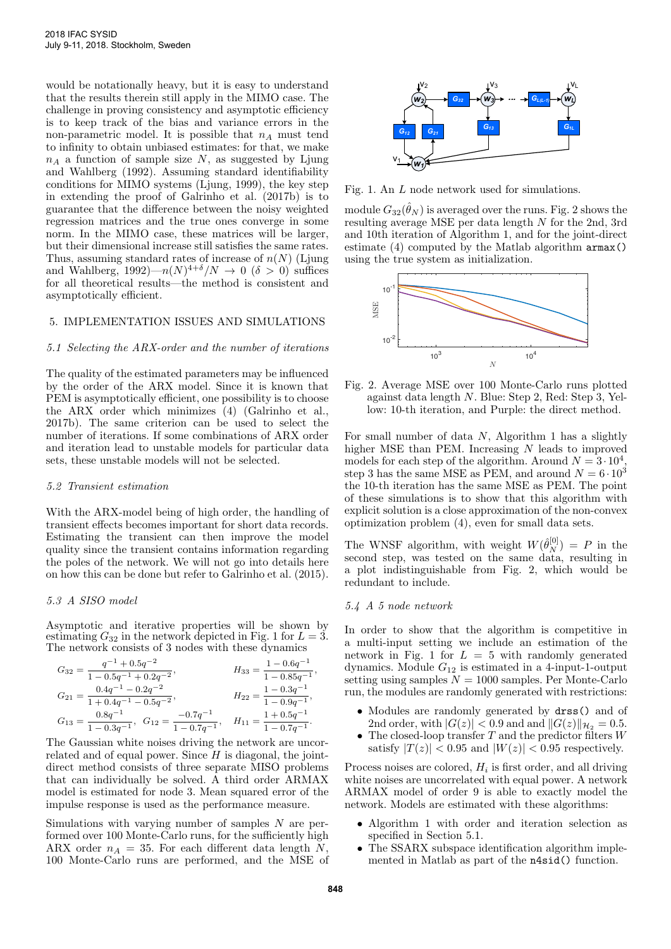would be notationally heavy, but it is easy to understand that the results therein still apply in the MIMO case. The challenge in proving consistency and asymptotic efficiency is to keep track of the bias and variance errors in the non-parametric model. It is possible that  $n_A$  must tend to infinity to obtain unbiased estimates: for that, we make  $n_A$  a function of sample size N, as suggested by Ljung and Wahlberg (1992). Assuming standard identifiability conditions for MIMO systems (Ljung, 1999), the key step in extending the proof of Galrinho et al. (2017b) is to guarantee that the difference between the noisy weighted regression matrices and the true ones converge in some norm. In the MIMO case, these matrices will be larger, but their dimensional increase still satisfies the same rates. Thus, assuming standard rates of increase of  $n(N)$  (Ljung and Wahlberg, 1992) $-n(N)^{4+\delta}/N \to 0$  ( $\delta > 0$ ) suffices for all theoretical results—the method is consistent and asymptotically efficient.

# 5. IMPLEMENTATION ISSUES AND SIMULATIONS

# 5.1 Selecting the ARX-order and the number of iterations

The quality of the estimated parameters may be influenced by the order of the ARX model. Since it is known that PEM is asymptotically efficient, one possibility is to choose the ARX order which minimizes (4) (Galrinho et al., 2017b). The same criterion can be used to select the number of iterations. If some combinations of ARX order and iteration lead to unstable models for particular data sets, these unstable models will not be selected.

# 5.2 Transient estimation

With the ARX-model being of high order, the handling of transient effects becomes important for short data records. Estimating the transient can then improve the model quality since the transient contains information regarding the poles of the network. We will not go into details here on how this can be done but refer to Galrinho et al. (2015).

## 5.3 A SISO model

Asymptotic and iterative properties will be shown by estimating  $G_{32}$  in the network depicted in Fig. 1 for  $L = 3$ . The network consists of 3 nodes with these dynamics

$$
G_{32} = \frac{q^{-1} + 0.5q^{-2}}{1 - 0.5q^{-1} + 0.2q^{-2}},
$$
  
\n
$$
G_{21} = \frac{0.4q^{-1} - 0.2q^{-2}}{1 + 0.4q^{-1} - 0.5q^{-2}},
$$
  
\n
$$
H_{33} = \frac{1 - 0.6q^{-1}}{1 - 0.85q^{-1}},
$$
  
\n
$$
H_{22} = \frac{1 - 0.3q^{-1}}{1 - 0.9q^{-1}},
$$
  
\n
$$
G_{13} = \frac{0.8q^{-1}}{1 - 0.3q^{-1}},
$$
  
\n
$$
G_{12} = \frac{-0.7q^{-1}}{1 - 0.7q^{-1}},
$$
  
\n
$$
H_{11} = \frac{1 + 0.5q^{-1}}{1 - 0.7q^{-1}}.
$$

The Gaussian white noises driving the network are uncorrelated and of equal power. Since  $H$  is diagonal, the jointdirect method consists of three separate MISO problems that can individually be solved. A third order ARMAX model is estimated for node 3. Mean squared error of the impulse response is used as the performance measure.

Simulations with varying number of samples N are performed over 100 Monte-Carlo runs, for the sufficiently high ARX order  $n_A = 35$ . For each different data length N, 100 Monte-Carlo runs are performed, and the MSE of



Fig. 1. An L node network used for simulations.

module  $G_{32}(\hat{\theta}_N)$  is averaged over the runs. Fig. 2 shows the resulting average MSE per data length N for the 2nd, 3rd and 10th iteration of Algorithm 1, and for the joint-direct estimate (4) computed by the Matlab algorithm armax() using the true system as initialization.



Fig. 2. Average MSE over 100 Monte-Carlo runs plotted against data length N. Blue: Step 2, Red: Step 3, Yellow: 10-th iteration, and Purple: the direct method.

For small number of data  $N$ , Algorithm 1 has a slightly higher MSE than PEM. Increasing N leads to improved models for each step of the algorithm. Around  $N = 3 \cdot 10^4$ , step 3 has the same MSE as PEM, and around  $N = 6 \cdot 10^3$ the 10-th iteration has the same MSE as PEM. The point of these simulations is to show that this algorithm with explicit solution is a close approximation of the non-convex optimization problem (4), even for small data sets.

The WNSF algorithm, with weight  $W(\hat{\theta}_N^{[0]}) = P$  in the second step, was tested on the same data, resulting in a plot indistinguishable from Fig. 2, which would be redundant to include.

#### 5.4 A 5 node network

In order to show that the algorithm is competitive in a multi-input setting we include an estimation of the network in Fig. 1 for  $L = 5$  with randomly generated dynamics. Module  $G_{12}$  is estimated in a 4-input-1-output setting using samples  $N = 1000$  samples. Per Monte-Carlo run, the modules are randomly generated with restrictions:

- Modules are randomly generated by drss() and of 2nd order, with  $|G(z)| < 0.9$  and and  $||G(z)||_{\mathcal{H}_2} = 0.5$ .
- The closed-loop transfer  $T$  and the predictor filters  $W$ satisfy  $|T(z)| < 0.95$  and  $|W(z)| < 0.95$  respectively.

Process noises are colored,  $H_i$  is first order, and all driving white noises are uncorrelated with equal power. A network ARMAX model of order 9 is able to exactly model the network. Models are estimated with these algorithms:

- Algorithm 1 with order and iteration selection as specified in Section 5.1.
- The SSARX subspace identification algorithm implemented in Matlab as part of the n4sid() function.